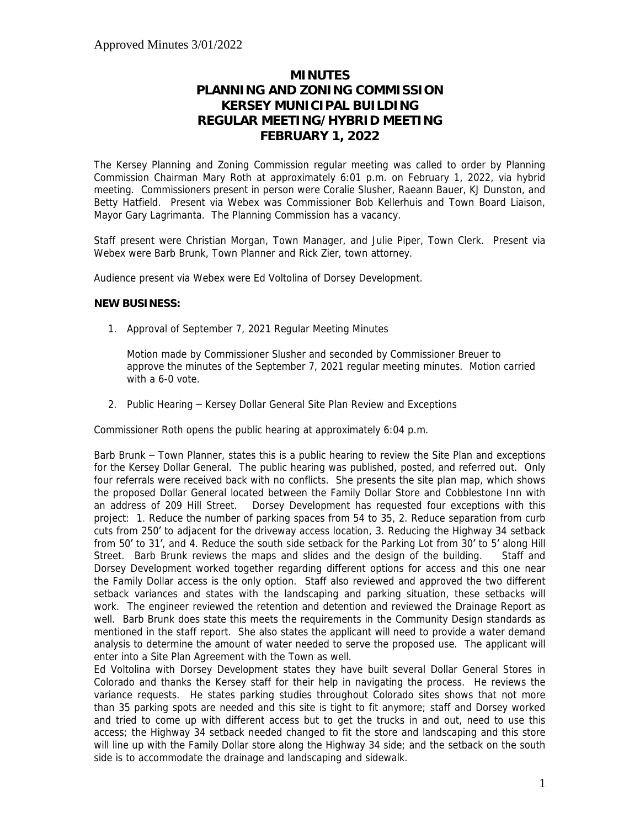## **MINUTES PLANNING AND ZONING COMMISSION KERSEY MUNICIPAL BUILDING REGULAR MEETING/HYBRID MEETING FEBRUARY 1, 2022**

The Kersey Planning and Zoning Commission regular meeting was called to order by Planning Commission Chairman Mary Roth at approximately 6:01 p.m. on February 1, 2022, via hybrid meeting. Commissioners present in person were Coralie Slusher, Raeann Bauer, KJ Dunston, and Betty Hatfield. Present via Webex was Commissioner Bob Kellerhuis and Town Board Liaison, Mayor Gary Lagrimanta. The Planning Commission has a vacancy.

Staff present were Christian Morgan, Town Manager, and Julie Piper, Town Clerk. Present via Webex were Barb Brunk, Town Planner and Rick Zier, town attorney.

Audience present via Webex were Ed Voltolina of Dorsey Development.

## **NEW BUSINESS:**

1. Approval of September 7, 2021 Regular Meeting Minutes

Motion made by Commissioner Slusher and seconded by Commissioner Breuer to approve the minutes of the September 7, 2021 regular meeting minutes. Motion carried with a 6-0 vote.

2. Public Hearing – Kersey Dollar General Site Plan Review and Exceptions

Commissioner Roth opens the public hearing at approximately 6:04 p.m.

Barb Brunk – Town Planner, states this is a public hearing to review the Site Plan and exceptions for the Kersey Dollar General. The public hearing was published, posted, and referred out. Only four referrals were received back with no conflicts. She presents the site plan map, which shows the proposed Dollar General located between the Family Dollar Store and Cobblestone Inn with an address of 209 Hill Street. Dorsey Development has requested four exceptions with this project: 1. Reduce the number of parking spaces from 54 to 35, 2. Reduce separation from curb cuts from 250' to adjacent for the driveway access location, 3. Reducing the Highway 34 setback from 50' to 31', and 4. Reduce the south side setback for the Parking Lot from 30' to 5' along Hill Street. Barb Brunk reviews the maps and slides and the design of the building. Staff and Dorsey Development worked together regarding different options for access and this one near the Family Dollar access is the only option. Staff also reviewed and approved the two different setback variances and states with the landscaping and parking situation, these setbacks will work. The engineer reviewed the retention and detention and reviewed the Drainage Report as well. Barb Brunk does state this meets the requirements in the Community Design standards as mentioned in the staff report. She also states the applicant will need to provide a water demand analysis to determine the amount of water needed to serve the proposed use. The applicant will enter into a Site Plan Agreement with the Town as well.

Ed Voltolina with Dorsey Development states they have built several Dollar General Stores in Colorado and thanks the Kersey staff for their help in navigating the process. He reviews the variance requests. He states parking studies throughout Colorado sites shows that not more than 35 parking spots are needed and this site is tight to fit anymore; staff and Dorsey worked and tried to come up with different access but to get the trucks in and out, need to use this access; the Highway 34 setback needed changed to fit the store and landscaping and this store will line up with the Family Dollar store along the Highway 34 side; and the setback on the south side is to accommodate the drainage and landscaping and sidewalk.